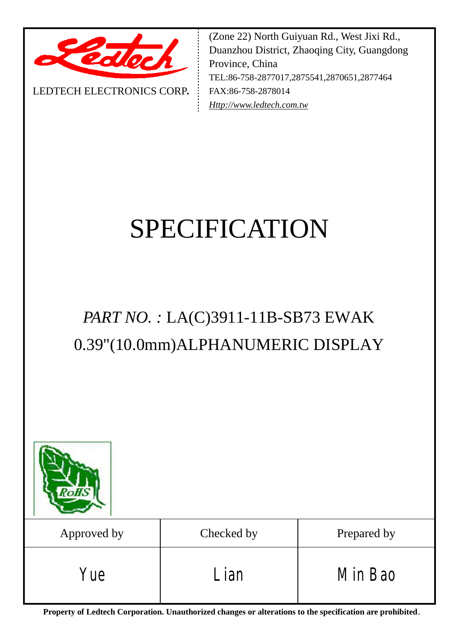

LEDTECH ELECTRONICS CORP**.**

(Zone 22) North Guiyuan Rd., West Jixi Rd., Duanzhou District, Zhaoqing City, Guangdong Province, China TEL:86-758-2877017,2875541,2870651,2877464 FAX:86-758-2878014 *[Http://www.ledtech.com.tw](http://www.ledtech.com.tw)*

# SPECIFICATION

# *PART NO. :* LA(C)3911-11B-SB73 EWAK 0.39"(10.0mm)ALPHANUMERIC DISPLAY

| <b>RoHS</b> |            |             |
|-------------|------------|-------------|
| Approved by | Checked by | Prepared by |
| Yue         | Lian       | Min Bao     |

**Property of Ledtech Corporation. Unauthorized changes or alterations to the specification are prohibited***.*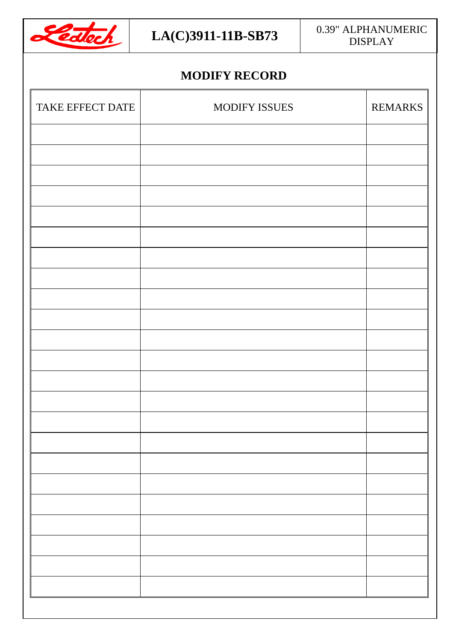

#### $LA(C)$ 3911-11B-SB73  $\Big|$  0.39" ALPHANUMERIC DISPLAY

# **MODIFY RECORD**

| TAKE EFFECT DATE | MODIFY ISSUES | <b>REMARKS</b> |
|------------------|---------------|----------------|
|                  |               |                |
|                  |               |                |
|                  |               |                |
|                  |               |                |
|                  |               |                |
|                  |               |                |
|                  |               |                |
|                  |               |                |
|                  |               |                |
|                  |               |                |
|                  |               |                |
|                  |               |                |
|                  |               |                |
|                  |               |                |
|                  |               |                |
|                  |               |                |
|                  |               |                |
|                  |               |                |
|                  |               |                |
|                  |               |                |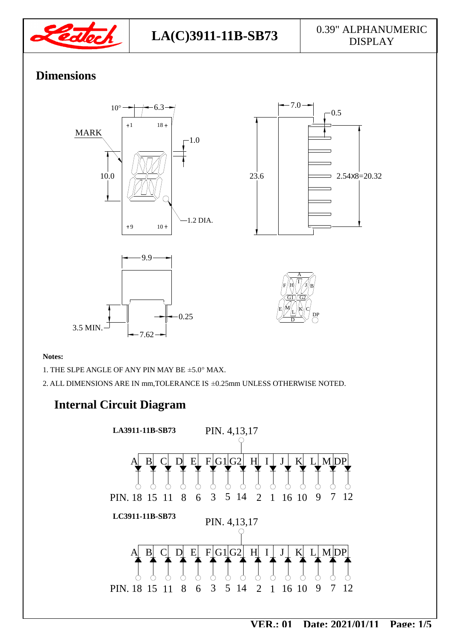

### **Dimensions**







#### **Notes:**

1. THE SLPE ANGLE OF ANY PIN MAY BE ±5.0° MAX.

2. ALL DIMENSIONS ARE IN mm,TOLERANCE IS ±0.25mm UNLESS OTHERWISE NOTED.

#### **Internal Circuit Diagram**

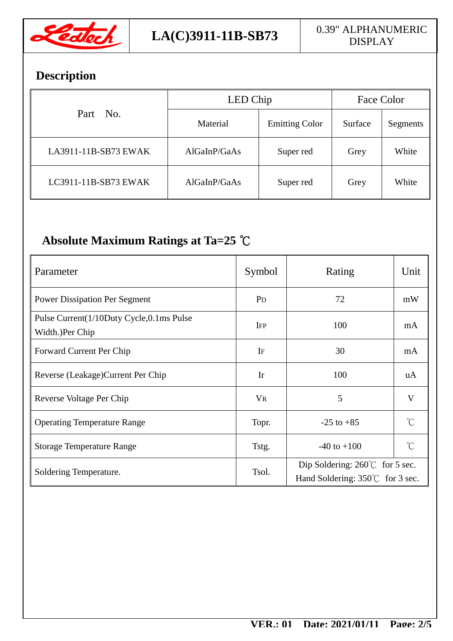

# **Description**

| Part No.             | LED Chip     |                       | Face Color |          |
|----------------------|--------------|-----------------------|------------|----------|
|                      | Material     | <b>Emitting Color</b> | Surface    | Segments |
| LA3911-11B-SB73 EWAK | AlGaInP/GaAs | Super red             | Grey       | White    |
| LC3911-11B-SB73 EWAK | AlGaInP/GaAs | Super red             | Grey       | White    |

# **Absolute Maximum Ratings at Ta=25 ℃**

| Parameter                                                   | Symbol                | Rating                                                                              | Unit                |  |
|-------------------------------------------------------------|-----------------------|-------------------------------------------------------------------------------------|---------------------|--|
| <b>Power Dissipation Per Segment</b>                        | <b>P</b> <sub>D</sub> | 72                                                                                  | mW                  |  |
| Pulse Current(1/10Duty Cycle,0.1ms Pulse<br>Width.)Per Chip | <b>IFP</b>            | 100                                                                                 | mA                  |  |
| Forward Current Per Chip                                    | $\rm{Ir}$             | 30                                                                                  | mA                  |  |
| Reverse (Leakage) Current Per Chip                          | $\mathbf{I}$ r        | 100                                                                                 | uA                  |  |
| Reverse Voltage Per Chip                                    | $V_{R}$               | 5                                                                                   | $\mathbf{V}$        |  |
| <b>Operating Temperature Range</b>                          | Topr.                 | $-25$ to $+85$                                                                      | $^{\circ}C$         |  |
| <b>Storage Temperature Range</b>                            | Tstg.                 | $-40$ to $+100$                                                                     | $\int_{0}^{\infty}$ |  |
| Soldering Temperature.                                      | Tsol.                 | Dip Soldering: $260^{\circ}$ for 5 sec.<br>Hand Soldering: $350^{\circ}$ for 3 sec. |                     |  |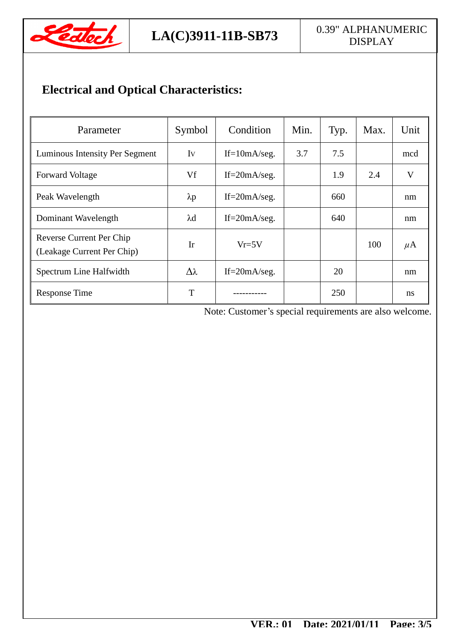

# **Electrical and Optical Characteristics:**

| Parameter                                              | Symbol          | Condition         | Min. | Typ. | Max. | Unit          |
|--------------------------------------------------------|-----------------|-------------------|------|------|------|---------------|
| Luminous Intensity Per Segment                         | Iv              | $If=10mA/secg.$   | 3.7  | 7.5  |      | mcd           |
| <b>Forward Voltage</b>                                 | Vf              | If= $20mA/secg$ . |      | 1.9  | 2.4  | V             |
| Peak Wavelength                                        | $\lambda p$     | If= $20mA/secg$ . |      | 660  |      | nm            |
| Dominant Wavelength                                    | $\lambda$ d     | If= $20mA/secg$ . |      | 640  |      | nm            |
| Reverse Current Per Chip<br>(Leakage Current Per Chip) | Ir              | $Vr=5V$           |      |      | 100  | $\mu$ A       |
| Spectrum Line Halfwidth                                | $\Delta\lambda$ | If= $20mA/secg$ . |      | 20   |      | nm            |
| <b>Response Time</b>                                   | T               |                   |      | 250  |      | <sub>ns</sub> |

Note: Customer's special requirements are also welcome.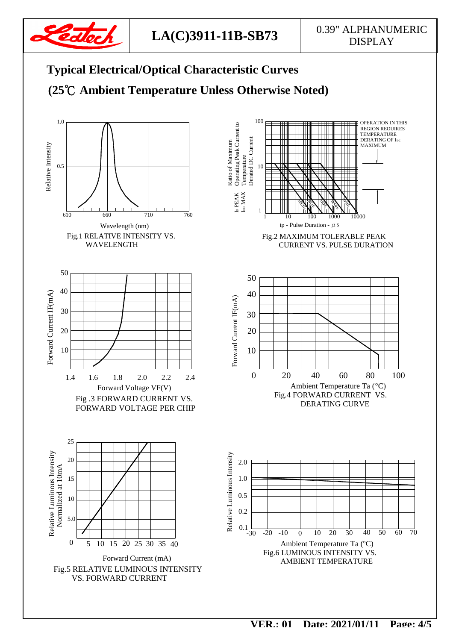